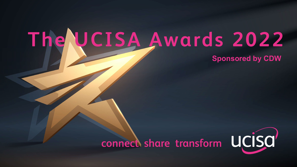# **The UCISA Awards 2022**

**Sponsored by CDW**

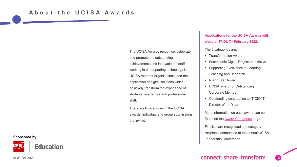## **About the UCISA Awards**

### Sponsored by



The UCISA Awards recognise, celebrate and promote the outstanding achievements and innovation of staff working in or supporting technology in UCISA member organisations, and the application of digital solutions which positively transform the experience of students, academics and professional staff.

There are 6 categories in the UCISA awards, individual and group submissions are invited.

**Applications for the UCISA Awards will close at 17:00, 7th February 2022.**

The 6 categories are:

- **Transformation Award**
- Sustainable Digital Project or Initiative
- **Supporting Excellence in Learning,** Teaching and Research
- Rising Star Award
- **UCISA award for Outstanding** Corporate Member
- Outstanding contribution to IT/CIO/IT Director of the Year

More information on each award can be found on the **[Award Categories](#page-2-0)** page.

Finalists are recognised and category recipients announced at the annual UCISA Leadership Conference.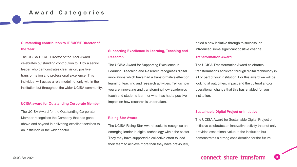## <span id="page-2-0"></span>**Award Categories**

## **Outstanding contribution to IT /CIO/IT Director of the Year**

The UCISA CIO/IT Director of the Year Award celebrates outstanding contribution to IT by a senior leader who demonstrates clear vision, positive transformation and professional excellence. This individual will act as a role model not only within their institution but throughout the wider UCISA community.

#### **UCISA award for Outstanding Corporate Member**

The UCISA Award for the Outstanding Corporate Member recognises the Company that has gone above and beyond in delivering excellent services to an institution or the wider sector.

## **Supporting Excellence in Learning, Teaching and Research**

The UCISA Award for Supporting Excellence in Learning, Teaching and Research recognises digital innovations which have had a transformative effect on learning, teaching and research activities. Tell us how you are innovating and transforming how academics teach and students learn, or what has had a positive impact on how research is undertaken.

#### **Rising Star Award**

The UCISA Rising Star Award seeks to recognise an emerging leader in digital technology within the sector. They may have supported a collective effort to lead their team to achieve more than they have previously,

or led a new initiative through to success, or introduced some significant positive change..

#### **Transformation Award**

The UCISA Transformation Award celebrates transformations achieved through digital technology in all or part of your institution. For this award we will be looking at outcomes, impact and the cultural and/or operational change that this has enabled for you institution.

#### **Sustainable Digital Project or Initiative**

The UCISA Award for Sustainable Digital Project or Initiative celebrates an innovative activity that not only provides exceptional value to the institution but demonstrates a strong consideration for the future.

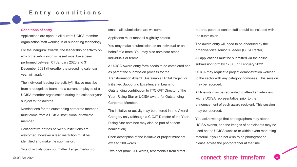## <span id="page-3-0"></span>**Entry conditions**

#### **Conditions of entry**

Applications are open to all current UCISA member organisation/staff working in or supporting technology.

For the inaugural awards, the leadership or activity on which the submission is based must have been performed between 01 January 2020 and 31 December 2021 (thereafter the preceding calendar year will apply).

The individual leading the activity/initiative must be from a recognised team and a current employee of a UCISA member organisation during the calendar year subject to the awards.

Nominations for the outstanding corporate member must come from a UCISA institutional or affiliate member.

Collaborative entries between institutions are welcomed, however a lead institution must be identified and make the submission.

Size of activity does not matter. Large, medium or

#### small - all submissions are welcome

Applicants must meet all eligibility criteria.

You may make a submission as an individual or on behalf of a team. You may also nominate other individuals or teams.

A UCISA Award entry form needs to be completed and as part of the submission process for the Transformation Award, Sustainable Digital Project or Initiative, Supporting Excellence in Learning Outstanding contribution to IT/CIO/IT Director of the Year, Rising Star or UCISA award for Outstanding Corporate Member.

The initiative or activity may be entered in one Award Category only (although a CIO/IT Director of the Year Rising Star nominee may also be part of a team nomination)

Short description of the initiative or project must not exceed 200 words.

Two brief (max. 200 words) testimonials from direct

reports, peers or senior staff should be included with the submission

The award entry will need to be endorsed by the organisation's senior IT leader (CIO/Director)

All applications must be submitted via the online submission form by 17:00, 7<sup>th</sup> February 2022.

UCISA may request a project demonstration webinar to the sector with any category nominees. This session may be recorded.

All finalists may be requested to attend an interview with a UCISA representative, prior to the announcement of each award recipient. This session may be recorded.

You acknowledge that photographers may attend UCISA events, and the images of participants may be used on the UCISA website or within event marketing material. If you do not wish to be photographed, please advise the photographer at the time.

## ©UCISA 2021 4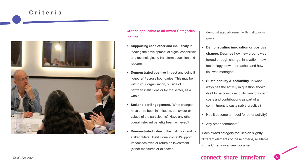# <span id="page-4-0"></span>**Criteria**



## **Criteria applicable to all Award Categories include:**

- **Supporting each other and inclusivity** in leading the development of digital capabilities and technologies to transform education and research.
- **Demonstrated positive impact** and doing it 'together' / across boundaries. This may be within your organisation, outside of it, between institutions or for the sector, as a whole.
- **Stakeholder Engagement.** What changes have there been in attitudes, behaviour or values of the participants? Have any other overall relevant benefits been achieved?
- **Demonstrated value** to the institution and its stakeholders. Institutional context/support; Impact achieved or return on investment (either measured or expected);

demonstrated alignment with institution's goals.

- **Demonstrating innovation or positive change**. Describe how new ground was forged through change, innovation, new technology; new approaches and how risk was managed.
- **Sustainability & scalability**. In what ways has the activity in question shown itself to be conscious of its own long-term costs and contributions as part of a commitment to sustainable practice?
- Has it become a model for other activity?
- Any other comments?

Each award category focuses on slightly different elements of these criteria, available in the Criteria overview document.

# **Connect share transform connect** share transform